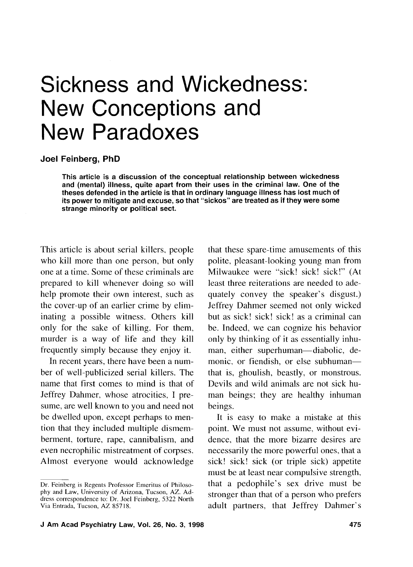# Sickness and Wickedness: New Conceptions and New Paradoxes

## **Joel Feinberg, PhD**

**This article is a discussion of the conceptual relationship between wickedness and (mental) illness, quite apart from their uses in the criminal law. One of the theses defended in the article is that in ordinary language illness has lost much of its power to mitigate and excuse, so that "sickos" are treated as if they were some strange minority or political sect.** 

This article is about serial killers, people who kill more than one person, but only one at a time. Some of these criminals are prepared to kill whenever doing so will help promote their own interest, such as the cover-up of an earlier crime by eliminating a possible witness. Others kill only for the sake of killing. For them, murder is a way of life and they kill frequently simply because they enjoy it.

In recent years, there have been a number of well-publicized serial killers. The name that first comes to mind is that of Jeffrey Dahmer, whose atrocities, I presume, are well known to you and need not be dwelled upon, except perhaps to mention that they included multiple dismemberment, torture, rape. cannibalism, and even necrophilic mistreatment of corpses. Almost everyone would acknowledge

that these spare-time amusements of this polite, pleasant-looking young man from Milwaukee were "sick! sick! sick!" (At least three reiterations are needed to adequately convey the speaker's disgust.) Jeffrey Dahmer seemed not only wicked but as sick! sick! sick! as a criminal can be. Indeed, we can cognize his behavior only by thinking of it as essentially inhuman, either superhuman—diabolic, demonic, or fiendish, or else subhuman that is, ghoulish, beastly, or monstrous. Devils and wild animals are not sick human beings; they are healthy inhuman beings.

It is easy to make a mistake at this point. We must not assume, without evidence, that the more bizarre desires are necessarily the more powerful ones, that a sick! sick! sick (or triple sick) appetite must be at least near compulsive strength, that a pedophile's sex drive must be stronger than that of a person who prefers adult partners, that Jeffrey Dahmer's

Dr. Feinberg is Regents Professor Emeritus of Philosophy and Law, University of Arizona, Tucson, AZ. Address correspondence to: Dr. Joel Feinberg, 5322 North Via Entrada, Tucson, AZ 857 18.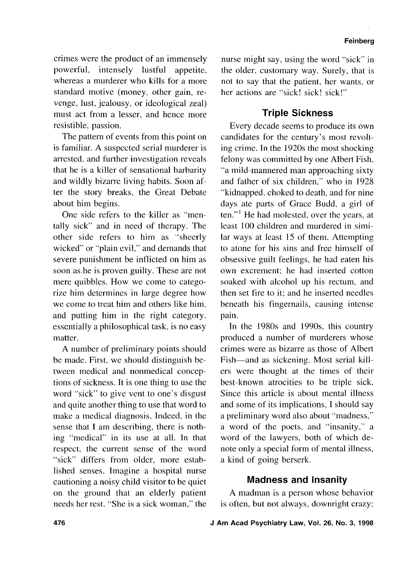crimes were the product of an immensely powerful, intensely lustful appetite, whereas a murderer who kills for a more standard motive (money, other gain, revenge, lust, jealousy, or ideological zeal) must act from a lesser, and hence more resistible, passion.

The pattern of events from this point on is familiar. A suspected serial murderer is arrested, and further investigation reveals that he is a killer of sensational barbarity and wildly bizarre living habits. Soon after the story breaks, the Great Debate about him begins.

One side refers to the killer as "mentally sick" and in need of therapy. The other side refers to him as "sheerly wicked" or "plain evil," and demands that severe punishment be inflicted on him as soon as he is proven guilty. These are not mere quibbles. How we come to categorize him determines in large degree how we come to treat him and others like him, and putting him in the right category, essentially a philosophical task, is no easy matter.

A number of preliminary points should be made. First, we should distinguish between medical and nonmedical conceptions of sickness. It is one thing to use the word "sick" to give vent to one's disgust and quite another thing to use that word to make a medical diagnosis. Indeed, in the sense that I am describing, there is nothing "medical" in its use at all. In that respect, the current sense of the word "sick" differs from older, more established senses. Imagine a hospital nurse cautioning a noisy child visitor to be quiet on the ground that an elderly patient needs her rest. "She is a sick woman," the

nurse might say, using the word "sick" in the older, customary way. Surely, that is not to say that the patient, her wants, or her actions are "sick! sick! sick!"

## **Triple Sickness**

Every decade seems to produce its own candidates for the century's most revolting crime. In the 1920s the most shocking felony was committed by one Albert Fish. "a mild-mannered man approaching sixty and father of six children," who in 1928 "kidnapped, choked to death, and for nine days ate parts of Grace Budd, a girl of ten."' He had molested, over the years, at least 100 children and murdered in similar ways at least 15 of them. Attempting to atone for his sins and free himself of obsessive guilt feelings, he had eaten his own excrement; he had inserted cotton soaked with alcohol up his rectum, and then set fire to it; and he inserted needles beneath his fingernails, causing intense pain.

In the 1980s and 1990s. this country produced a number of murderers whose crimes were as bizarre as those of Albert Fish-and as sickening. Most serial killers were thought at the times of their best-known atrocities to be triple sick. Since this article is about mental illness and some of its implications, I should say a preliminary word also about "madness," a word of the poets, and "insanity," a word of the lawyers, both of which denote only a special form of mental illness, a kind of going berserk.

## **Madness and Insanity**

A madman is a person whose behavior is often, but not always, downright crazy;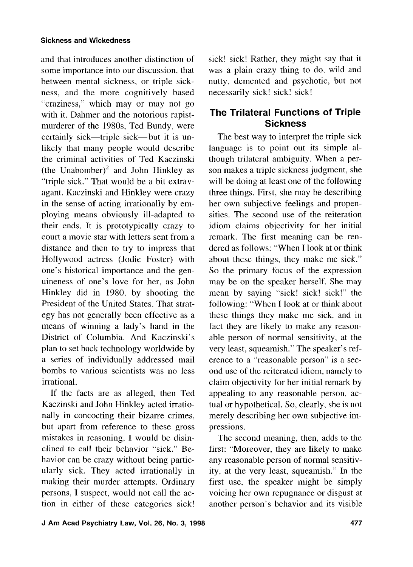## **Sickness and Wickedness**

and that introduces another distinction of some importance into our discussion, that between mental sickness, or triple sickness, and the more cognitively based "craziness," which may or may not go with it. Dahmer and the notorious rapistmurderer of the 1980s, Ted Bundy, were certainly sick-triple sick-but it is unlikely that many people would describe the criminal activities of Ted Kaczinski (the Unabomber)<sup>2</sup> and John Hinkley as "triple sick." That would be a bit extravagant. Kaczinski and Hinkley were crazy in the sense of acting irrationally by employing means obviously ill-adapted to their ends. It is prototypically crazy to court a movie star with letters sent from a distance and then to try to impress that Hollywood actress (Jodie Foster) with one's historical importance and the genuineness of one's love for her, as John Hinkley did in 1980, by shooting the President of the United States. That strategy has not generally been effective as a means of winning a lady's hand in the District of Columbia. And Kaczinski's plan to set back technology worldwide by a series of individually addressed mail bombs to various scientists was no less irrational.

If the facts are as alleged, then Ted Kaczinski and John Hinkley acted irrationally in concocting their bizarre crimes, but apart from reference to these gross mistakes in reasoning, I would be disinclined to call their behavior "sick." Behavior can be crazy without being particularly sick. They acted irrationally in making their murder attempts. Ordinary persons, I suspect, would not call the action in either of these categories sick! sick! sick! Rather, they might say that it was a plain crazy thing to do, wild and nutty, demented and psychotic, but not necessarily sick! sick! sick!

# **The Trilateral Functions of Triple Sickness**

The best way to interpret the triple sick language is to point out its simple although trilateral ambiguity. When a person makes a triple sickness judgment, she will be doing at least one of the following three things. First, she may be describing her own subjective feelings and propensities. The second use of the reiteration idiom claims objectivity for her initial remark. The first meaning can be rendered as follows: "When I look at or think about these things, they make me sick." So the primary focus of the expression may be on the speaker herself. She may mean by saying "sick! sick! sick!" the following: "When I look at or think about these things they make me sick, and in fact they are likely to make any reasonable person of normal sensitivity, at the very least, squeamish." The speaker's reference to a "reasonable person" is a second use of the reiterated idiom, namely to claim objectivity for her initial remark by appealing to any reasonable person, actual or hypothetical. So, clearly, she is not merely describing her own subjective impressions.

The second meaning, then, adds to the first: "Moreover, they are likely to make any reasonable person of normal sensitivity, at the very least, squeamish." In the first use, the speaker might be simply voicing her own repugnance or disgust at another person's behavior and its visible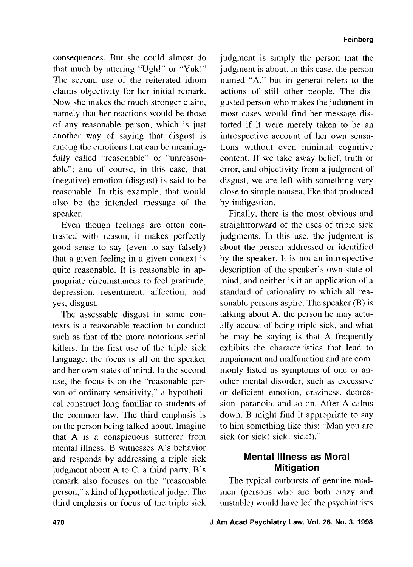consequences. But she could almost do that much by uttering "Ugh!" or "Yuk!" The second use of the reiterated idiom claims objectivity for her initial remark. Now she makes the much stronger claim, namely that her reactions would be those of any reasonable person, which is just another way of saying that disgust is among the emotions that can be meaningfully called "reasonable" or "unreasonable"; and of course, in this case, that (negative) emotion (disgust) is said to be reasonable. In this example, that would also be the intended message of the speaker.

Even though feelings are often contrasted with reason, it makes perfectly good sense to say (even to say falsely) that a given feeling in a given context is quite reasonable. It is reasonable in appropriate circumstances to feel gratitude, depression, resentment, affection, and yes, disgust.

The assessable disgust in some contexts is a reasonable reaction to conduct such as that of the more notorious serial killers. In the first use of the triple sick language, the focus is all on the speaker and her own states of mind. In the second use, the focus is on the "reasonable person of ordinary sensitivity," a hypothetical construct long familiar to students of the common law. The third emphasis is on the person being talked about. Imagine that A is a conspicuous sufferer from mental illness. B witnesses A's behavior and responds by addressing a triple sick judgment about A to C, a third party. B's remark also focuses on the "reasonable person," a kind of hypothetical judge. The third emphasis or focus of the triple sick

judgment is simply the person that the judgment is about, in this case, the person named "A," but in general refers to the actions of still other people. The disgusted person who makes the judgment in most cases would find her message distorted if it were merely taken to be an introspective account of her own sensations without even minimal cognitive content. If we take away belief, truth or error, and objectivity from a judgment of disgust, we are left with something very close to simple nausea, like that produced by indigestion.

Finally, there is the most obvious and straightforward of the uses of triple sick judgments. In this use, the judgment is about the person addressed or identified by the speaker. It is not an introspective description of the speaker's own state of mind, and neither is it an application of a standard of rationality to which all reasonable persons aspire. The speaker (B) is talking about A, the person he may actually accuse of being triple sick, and what he may be saying is that A frequently exhibits the characteristics that lead to impairment and malfunction and are commonly listed as symptoms of one or another mental disorder, such as excessive or deficient emotion, craziness, depression, paranoia, and so on. After A calms down, B might find it appropriate to say to him something like this: "Man you are sick (or sick! sick! sick!)."

# **Mental Illness as Moral Mitigation**

The typical outbursts of genuine madmen (persons who are both crazy and unstable) would have led the psychiatrists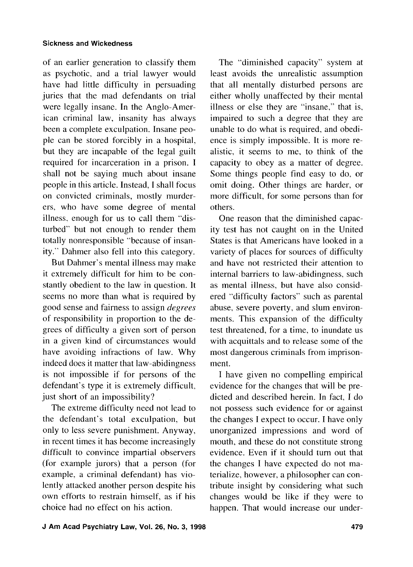of an earlier generation to classify them as psychotic, and a trial lawyer would have had little difficulty in persuading juries that the mad defendants on trial were legally insane. In the Anglo-American criminal law, insanity has always been a complete exculpation. Insane people can be stored forcibly in a hospital, but they are incapable of the legal guilt required for incarceration in a prison. I shall not be saying much about insane people in this article. Instead, I shall focus on convicted criminals, mostly murderers, who have some degree of mental illness, enough for us to call them "disturbed" but not enough to render them totally nonresponsible "because of insanity." Dahmer also fell into this category.

But Dahmer's mental illness may make it extremely difficult for him to be constantly obedient to the law in question. It seems no more than what is required by good sense and fairness to assign *degrees*  of responsibility in proportion to the degrees of difficulty a given sort of person in a given kind of circumstances would have avoiding infractions of law. Why indeed does it matter that law-abidingness is not impossible if for persons of the defendant's type it is extremely difficult, just short of an impossibility?

The extreme difficulty need not lead to the defendant's total exculpation, but only to less severe punishment. Anyway, in recent times it has become increasingly difficult to convince impartial observers (for example jurors) that a person (for example, a criminal defendant) has violently attacked another person despite his own efforts to restrain himself, as if his choice had no effect on his action.

The "diminished capacity" system at least avoids the unrealistic assumption that all mentally disturbed persons are either wholly unaffected by their mental illness or else they are "insane," that is, impaired to such a degree that they are unable to do what is required, and obedience is simply impossible. It is more realistic, it seems to me, to think of the capacity to obey as a matter of degree. Some things people find easy to do, or omit doing. Other things are harder, or more difficult, for some persons than for others.

One reason that the diminished capacity test has not caught on in the United States is that Americans have looked in a variety of places for sources of difficulty and have not restricted their attention to internal barriers to law-abidingness, such as mental illness, but have also considered "difficulty factors" such as parental abuse, severe poverty, and slum environments. This expansion of the difficulty test threatened, for a time, to inundate us with acquittals and to release some of the most dangerous criminals from imprisonment.

I have given no compelling empirical evidence for the changes that will be predicted and described herein. In fact, I do not possess such evidence for or against the changes I expect to occur. I have only unorganized impressions and word of mouth, and these do not constitute strong evidence. Even if it should turn out that the changes I have expected do not materialize, however, a philosopher can contribute insight by considering what such changes would be like if they were to happen. That would increase our under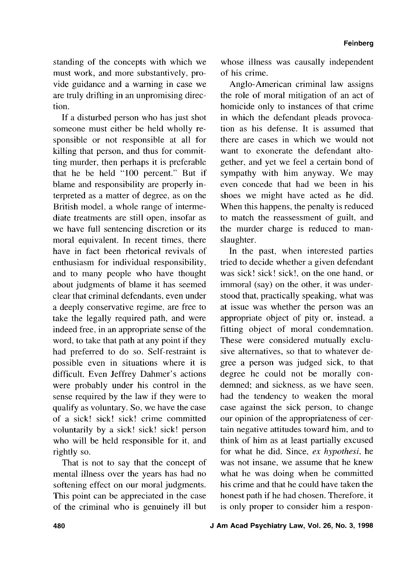standing of the concepts with which we must work, and more substantively, provide guidance and a warning in case we are truly drifting in an unpromising direction.

If a disturbed person who has just shot someone must either be held wholly responsible or not responsible at all for killing that person, and thus for committing murder, then perhaps it is preferable that he be held "100 percent." But if blame and responsibility are properly interpreted as a matter of degree, as on the British model, a whole range of intermediate treatments are still open, insofar as we have full sentencing discretion or its moral equivalent. In recent times, there have in fact been rhetorical revivals of enthusiasm for individual responsibility, and to many people who have thought about judgments of blame it has seemed clear that criminal defendants, even under a deeply conservative regime, are free to take the legally required path, and were indeed free, in an appropriate sense of the word, to take that path at any point if they had preferred to do so. Self-restraint is possible even in situations where it is difficult. Even Jeffrey Dahmer's actions were probably under his control in the sense required by the law if they were to qualify as voluntary. So, we have the case of a sick! sick! sick! crime committed voluntarily by a sick! sick! sick! person who will be held responsible for it, and rightly so.

That is not to say that the concept of mental illness over the years has had no softening effect on our moral judgments. This point can be appreciated in the case of the criminal who is genuinely ill but whose illness was causally independent of his crime.

Anglo-American criminal law assigns the role of moral mitigation of an act of homicide only to instances of that crime in which the defendant pleads provocation as his defense. It is assumed that there are cases in which we would not want to exonerate the defendant altogether, and yet we feel a certain bond of sympathy with him anyway. We may even concede that had we been in his shoes we might have acted as he did. When this happens, the penalty is reduced to match the reassessment of guilt, and the murder charge is reduced to manslaughter.

In the past, when interested parties tried to decide whether a given defendant was sick! sick! sick!, on the one hand, or immoral (say) on the other, it was understood that, practically speaking, what was at issue was whether the person was an appropriate object of pity or, instead, a fitting object of moral condemnation. These were considered mutually exclusive alternatives, so that to whatever degree a person was judged sick, to that degree he could not be morally condemned; and sickness, as we have seen, had the tendency to weaken the moral case against the sick person, to change our opinion of the appropriateness of certain negative attitudes toward him. and to think of him as at least partially excused for what he did. Since, *ex hypothesi,* he was not insane, we assume that he knew what he was doing when he committed his crime and that he could have taken the honest path if he had chosen. Therefore, it is only proper to consider him a respon-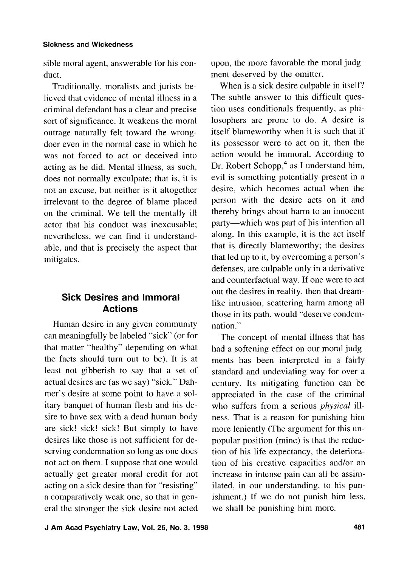#### **Sickness and Wickedness**

sible moral agent, answerable for his conduct.

Traditionally, moralists and jurists believed that evidence of mental illness in a criminal defendant has a clear and precise sort of significance. It weakens the moral outrage naturally felt toward the wrongdoer even in the normal case in which he was not forced to act or deceived into acting as he did. Mental illness, as such, does not normally exculpate; that is, it is not an excuse, but neither is it altogether irrelevant to the degree of blame placed on the criminal. We tell the mentally ill actor that his conduct was inexcusable; nevertheless, we can find it understandable, and that is precisely the aspect that mitigates.

## **Sick Desires and Immoral Actions**

Human desire in any given community can meaningfully be labeled "sick" (or for that matter "healthy" depending on what the facts should turn out to be). It is at least not gibberish to say that a set of actual desires are (as we say) "sick." Dahmer's desire at some point to have a solitary banquet of human flesh and his desire to have sex with a dead human body are sick! sick! sick! But simply to have desires like those is not sufficient for deserving condemnation so long as one does not act on them. I suppose that one would actually get greater moral credit for not acting on a sick desire than for "resisting" a comparatively weak one, so that in general the stronger the sick desire not acted

upon, the more favorable the moral judgment deserved by the omitter.

When is a sick desire culpable in itself? The subtle answer to this difficult question uses conditionals frequently, as philosophers are prone to do. A desire is itself blameworthy when it is such that if its possessor were to act on it, then the action would be immoral. According to Dr. Robert Schopp, $4$  as I understand him, evil is something potentially present in a desire, which becomes actual when the person with the desire acts on it and thereby brings about harm to an innocent party-which was part of his intention all along. In this example, it is the act itself that is directly blameworthy; the desires that led up to it, by overcoming a person's defenses, are culpable only in a derivative and counterfactual way. If one were to act out the desires in reality, then that dreamlike intrusion, scattering harm among all those in its path, would "deserve condemnation."

The concept of mental illness that has had a softening effect on our moral judgments has been interpreted in a fairly standard and undeviating way for over a century. Its mitigating function can be appreciated in the case of the criminal who suffers from a serious *physical* illness. That is a reason for punishing him more leniently (The argument for this unpopular position (mine) is that the reduction of his life expectancy, the deterioration of his creative capacities and/or an increase in intense pain can all be assimilated, in our understanding, to his punishment.) If we do not punish him less, we shall be punishing him more.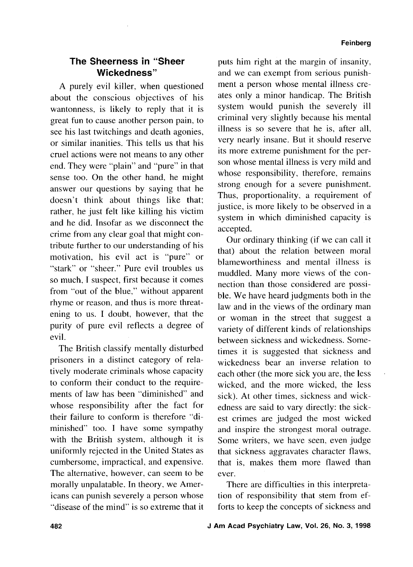# **The Sheerness in "Sheer Wickedness"**

A purely evil killer, when questioned about the conscious objectives of his wantonness, is likely to reply that it is great fun to cause another person pain, to see his last twitchings and death agonies, or similar inanities. This tells us that his cruel actions were not means to any other end. They were "plain" and "pure" in that sense too. On the other hand, he might answer our questions by saying that he doesn't think about things like that: rather, he just felt like killing his victim and he did. Insofar as we disconnect the crime from any clear goal that might contribute further to our understanding of his motivation, his evil act is "pure" or "stark" or "sheer." Pure evil troubles us so much, 1 suspect, first because it comes from "out of the blue," without apparent rhyme or reason, and thus is more threatening to us. I doubt, however, that the purity of pure evil reflects a degree of evil.

The British classify mentally disturbed prisoners in a distinct category of relatively moderate criminals whose capacity to conform their conduct to the requirements of law has been "diminished" and whose responsibility after the fact for their failure to conform is therefore "diminished" too. I have some sympathy with the British system, although it is uniformly rejected in the United States as cumbersome, impractical, and expensive. The alternative, however, can seem to be morally unpalatable. In theory. we Americans can punish severely a person whose "disease of the mind" is so extreme that it puts him right at the margin of insanity, and we can exempt from serious punishment a person whose mental illness creates only a minor handicap. The British system would punish the severely ill criminal very slightly because his mental illness is so severe that he is, after all, very nearly insane. But it should reserve its more extreme punishment for the person whose mental illness is very mild and whose responsibility, therefore, remains strong enough for a severe punishment. Thus, proportionality, a requirement of justice, is more likely to be observed in a system in which diminished capacity is accepted.

Our ordinary thinking (if we can call it that) about the relation between moral blameworthiness and mental illness is muddled. Many more views of the connection than those considered are possible. We have heard judgments both in the law and in the views of the ordinary man or woman in the street that suggest a variety of different kinds of relationships between sickness and wickedness. Sometimes it is suggested that sickness and wickedness bear an inverse relation to each other (the more sick you are, the less wicked, and the more wicked, the less sick). At other times, sickness and wickedness are said to vary directly: the sickest crimes are judged the most wicked and inspire the strongest moral outrage. Some writers, we have seen, even judge that sickness aggravates character flaws, that is, makes them more flawed than ever.

There are difficulties in this interpretation of responsibility that stem from efforts to keep the concepts of sickness and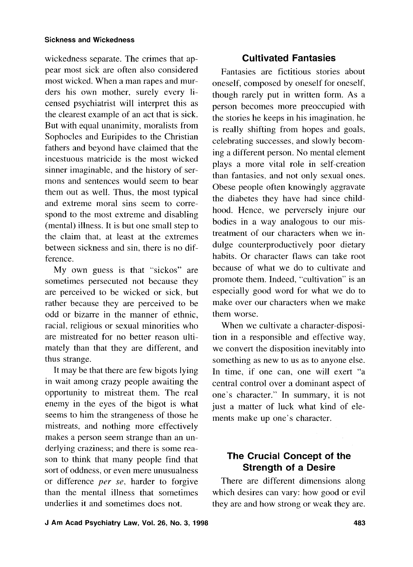wickedness separate. The crimes that appear most sick are often also considered most wicked. When a man rapes and murders his own mother, surely every licensed psychiatrist will interpret this as the clearest example of an act that is sick. But with equal unanimity, moralists from Sophocles and Euripides to the Christian fathers and beyond have claimed that the incestuous matricide is the most wicked sinner imaginable, and the history of sermons and sentences would seem to bear them out as well. Thus, the most typical and extreme moral sins seem to correspond to the most extreme and disabling (mental) illness. It is but one small step to the claim that, at least at the extremes between sickness and sin, there is no difference.

My own guess is that "sickos" are sometimes persecuted not because they are perceived to be wicked or sick, but rather because they are perceived to be odd or bizarre in the manner of ethnic, racial, religious or sexual minorities who are mistreated for no better reason ultimately than that they are different, and thus strange.

It may be that there are few bigots lying in wait among crazy people awaiting the opportunity to mistreat them. The real enemy in the eyes of the bigot is what seems to him the strangeness of those he mistreats, and nothing more effectively makes a person seem strange than an underlying craziness; and there is some reason to think that many people find that sort of oddness, or even mere unusualness or difference per *se,* harder to forgive than the mental illness that sometimes underlies it and sometimes does not.

# **Cultivated Fantasies**

Fantasies are fictitious stories about oneself, composed by oneself for oneself, though rarely put in written form. As a person becomes more preoccupied with the stories he keeps in his imagination. he is really shifting from hopes and goals, celebrating successes, and slowly becoming a different person. No mental element plays a more vital role in self-creation than fantasies, and not only sexual ones. Obese people often knowingly aggravate the diabetes they have had since childhood. Hence, we perversely injure our bodies in a way analogous to our mistreatment of our characters when we indulge counterproductively poor dietary habits. Or character flaws can take root because of what we do to cultivate and promote them. Indeed, "cultivation'' is an especially good word for what we do to make over our characters when we make them worse.

When we cultivate a character-disposition in a responsible and effective way, we convert the disposition inevitably into something as new to us as to anyone else. In time, if one can, one will exert "a central control over a dominant aspect of one's character." In summary, it is not just a matter of luck what kind of elements make up one's character.

# **The Crucial Concept of the Strength of a Desire**

There are different dimensions along which desires can vary: how good or evil they are and how strong or weak they are.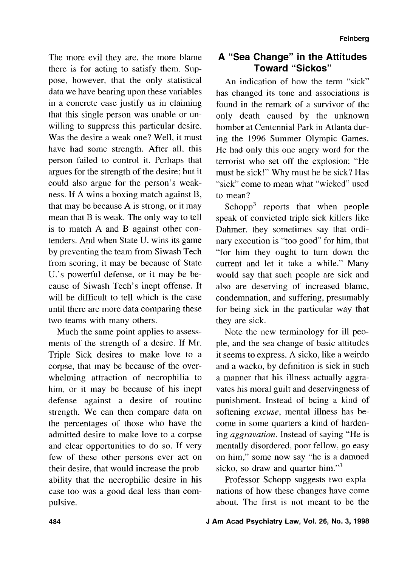The more evil they are, the more blame there is for acting to satisfy them. Suppose, however, that the only statistical data we have bearing upon these variables in a concrete case justify us in claiming that this single person was unable or unwilling to suppress this particular desire. Was the desire a weak one? Well, it must have had some strength. After all, this person failed to control it. Perhaps that argues for the strength of the desire; but it could also argue for the person's weakness. If A wins a boxing match against B, that may be because A is strong, or it may mean that B is weak. The only way to tell is to match A and B against other contenders. And when State U. wins its game by preventing the team from Siwash Tech from scoring, it may be because of State U.'s powerful defense, or it may be because of Siwash Tech's inept offense. It will be difficult to tell which is the case until there are more data comparing these two teams with many others.

Much the same point applies to assessments of the strength of a desire. If Mr. Triple Sick desires to make love to a corpse, that may be because of the overwhelming attraction of necrophilia to him, or it may be because of his inept defense against a desire of routine strength. We can then compare data on the percentages of those who have the admitted desire to make love to a corpse and clear opportunities to do so. If very few of these other persons ever act on their desire, that would increase the probability that the necrophilic desire in his case too was a good deal less than compulsive.

# **A "Sea Change" in the Attitudes Toward "Sickos"**

An indication of how the term "sick" has changed its tone and associations is found in the remark of a survivor of the only death caused by the unknown bomber at Centennial Park in Atlanta during the 1996 Summer Olympic Games. He had only this one angry word for the terrorist who set off the explosion: "He must be sick!" Why must he be sick? Has "sick" come to mean what "wicked" used to mean?

Schopp<sup>3</sup> reports that when people speak of convicted triple sick killers like Dahmer, they sometimes say that ordinary execution is "too good" for him, that "for him they ought to turn down the current and let it take a while." Many would say that such people are sick and also are deserving of increased blame, condemnation, and suffering, presumably for being sick in the particular way that they are sick.

Note the new terminology for ill people, and the sea change of basic attitudes it seems to express. A sicko, like a weirdo and a wacko, by definition is sick in such a manner that his illness actually aggravates his moral guilt and deservingness of punishment. Instead of being a kind of softening **excuse,** mental illness has become in some quarters a kind of hardening aggravation. Instead of saying "He is mentally disordered, poor fellow, go easy on him," some now say "he is a damned sicko, so draw and quarter him."3

Professor Schopp suggests two explanations of how these changes have come about. The first is not meant to be the